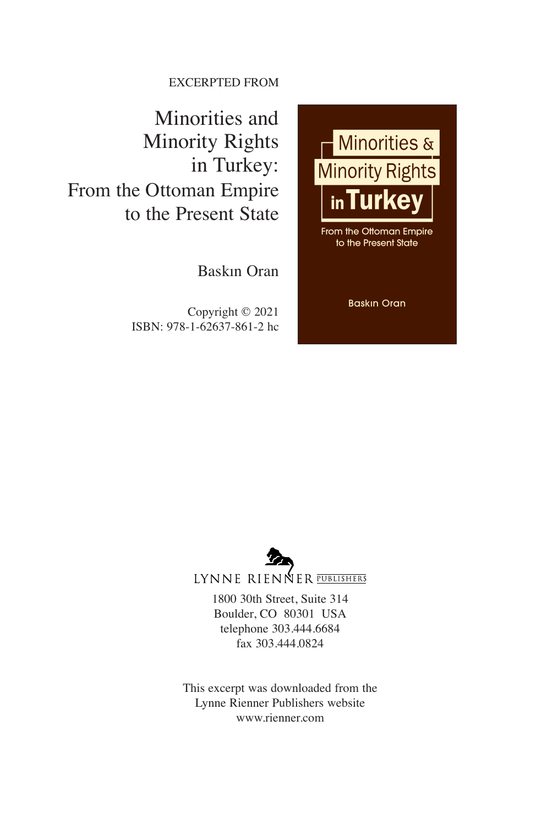EXCERPTED FROM

Minorities and Minority Rights in Turkey: From the Ottoman Empire to the Present State

Baskın Oran

Copyright © 2021 ISBN: 978-1-62637-861-2 hc





LYNNE RIENNER PUBLISHERS

1800 30th Street, Suite 314 Boulder, CO 80301 USA telephone 303.444.6684 fax 303.444.0824

This excerpt was downloaded from the Lynne Rienner Publishers website www.rienner.com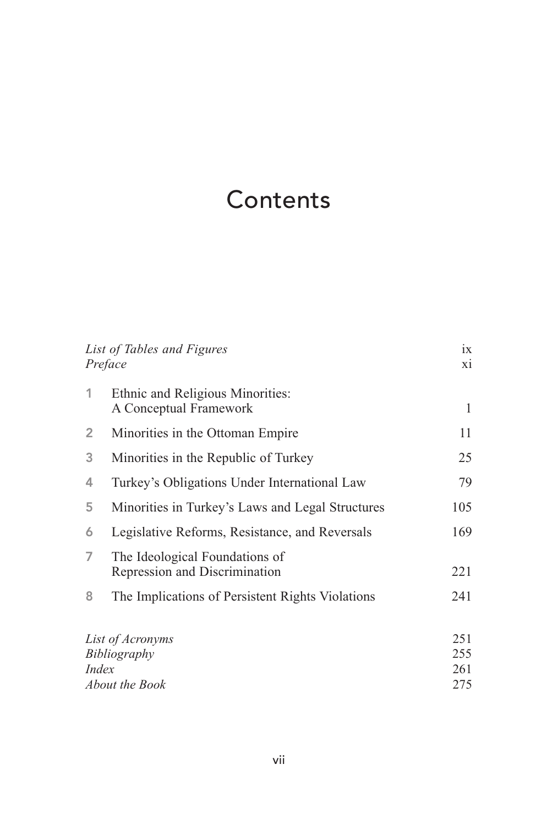# **Contents**

| 1X<br>xi |
|----------|
|          |
| 1<br>11  |
| 25       |
| 79       |
| 105      |
| 169      |
| 221      |
| 241      |
| 251      |
| 255      |
| 261      |
| 275      |
|          |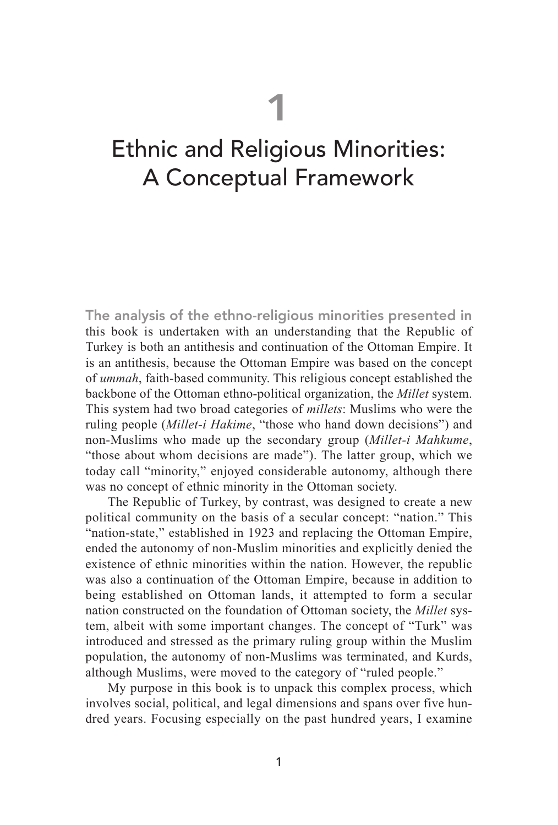1

## Ethnic and Religious Minorities: A Conceptual Framework

The analysis of the ethno-religious minorities presented in this book is undertaken with an understanding that the Republic of Turkey is both an antithesis and continuation of the Ottoman Empire. It is an antithesis, because the Ottoman Empire was based on the concept of *ummah*, faith-based community. This religious concept established the backbone of the Ottoman ethno-political organization, the *Millet* system. This system had two broad categories of *millets*: Muslims who were the ruling people (*Millet-i Hakime*, "those who hand down decisions") and non-Muslims who made up the secondary group (*Millet-i Mahkume*, "those about whom decisions are made"). The latter group, which we today call "minority," enjoyed considerable autonomy, although there was no concept of ethnic minority in the Ottoman society.

The Republic of Turkey, by contrast, was designed to create a new political community on the basis of a secular concept: "nation." This "nation-state," established in 1923 and replacing the Ottoman Empire, ended the autonomy of non-Muslim minorities and explicitly denied the existence of ethnic minorities within the nation. However, the republic was also a continuation of the Ottoman Empire, because in addition to being established on Ottoman lands, it attempted to form a secular nation constructed on the foundation of Ottoman society, the *Millet* system, albeit with some important changes. The concept of "Turk" was introduced and stressed as the primary ruling group within the Muslim population, the autonomy of non-Muslims was terminated, and Kurds, although Muslims, were moved to the category of "ruled people."

My purpose in this book is to unpack this complex process, which involves social, political, and legal dimensions and spans over five hundred years. Focusing especially on the past hundred years, I examine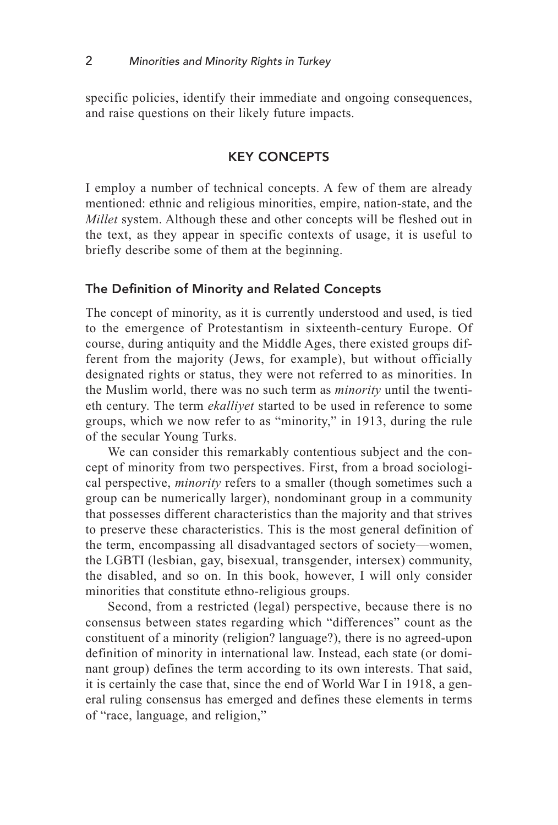specific policies, identify their immediate and ongoing consequences, and raise questions on their likely future impacts.

## KEY CONCEPTS

I employ a number of technical concepts. A few of them are already mentioned: ethnic and religious minorities, empire, nation-state, and the *Millet* system. Although these and other concepts will be fleshed out in the text, as they appear in specific contexts of usage, it is useful to briefly describe some of them at the beginning.

## The Definition of Minority and Related Concepts

The concept of minority, as it is currently understood and used, is tied to the emergence of Protestantism in sixteenth-century Europe. Of course, during antiquity and the Middle Ages, there existed groups different from the majority (Jews, for example), but without officially designated rights or status, they were not referred to as minorities. In the Muslim world, there was no such term as *minority* until the twentieth century. The term *ekalliyet* started to be used in reference to some groups, which we now refer to as "minority," in 1913, during the rule of the secular Young Turks.

We can consider this remarkably contentious subject and the concept of minority from two perspectives. First, from a broad sociological perspective, *minority* refers to a smaller (though sometimes such a group can be numerically larger), nondominant group in a community that possesses different characteristics than the majority and that strives to preserve these characteristics. This is the most general definition of the term, encompassing all disadvantaged sectors of society—women, the LGBTI (lesbian, gay, bisexual, transgender, intersex) community, the disabled, and so on. In this book, however, I will only consider minorities that constitute ethno-religious groups.

Second, from a restricted (legal) perspective, because there is no consensus between states regarding which "differences" count as the constituent of a minority (religion? language?), there is no agreed-upon definition of minority in international law. Instead, each state (or dominant group) defines the term according to its own interests. That said, it is certainly the case that, since the end of World War I in 1918, a general ruling consensus has emerged and defines these elements in terms of "race, language, and religion,"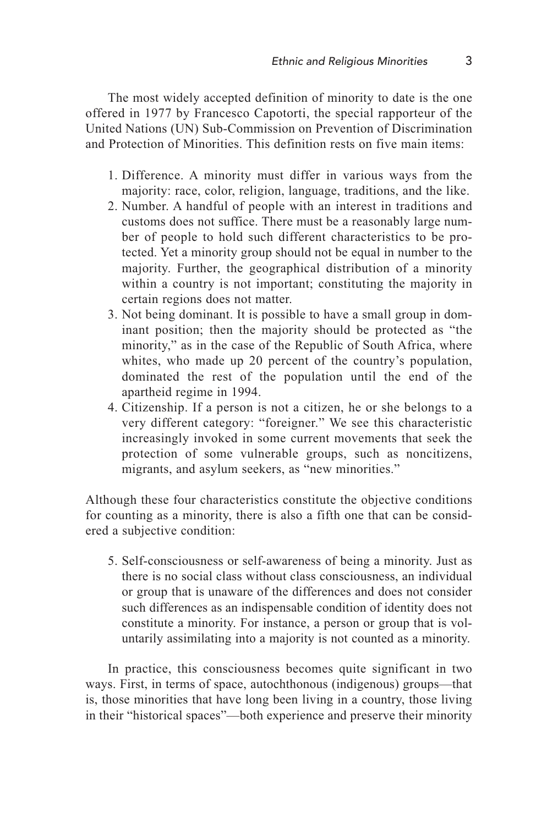The most widely accepted definition of minority to date is the one offered in 1977 by Francesco Capotorti, the special rapporteur of the United Nations (UN) Sub-Commission on Prevention of Discrimination and Protection of Minorities. This definition rests on five main items:

- 1. Difference. A minority must differ in various ways from the majority: race, color, religion, language, traditions, and the like.
- 2. Number. A handful of people with an interest in traditions and customs does not suffice. There must be a reasonably large number of people to hold such different characteristics to be protected. Yet a minority group should not be equal in number to the majority. Further, the geographical distribution of a minority within a country is not important; constituting the majority in certain regions does not matter.
- 3. Not being dominant. It is possible to have a small group in dominant position; then the majority should be protected as "the minority," as in the case of the Republic of South Africa, where whites, who made up 20 percent of the country's population, dominated the rest of the population until the end of the apartheid regime in 1994.
- 4. Citizenship. If a person is not a citizen, he or she belongs to a very different category: "foreigner." We see this characteristic increasingly invoked in some current movements that seek the protection of some vulnerable groups, such as noncitizens, migrants, and asylum seekers, as "new minorities."

Although these four characteristics constitute the objective conditions for counting as a minority, there is also a fifth one that can be considered a subjective condition:

5. Self-consciousness or self-awareness of being a minority. Just as there is no social class without class consciousness, an individual or group that is unaware of the differences and does not consider such differences as an indispensable condition of identity does not constitute a minority. For instance, a person or group that is voluntarily assimilating into a majority is not counted as a minority.

In practice, this consciousness becomes quite significant in two ways. First, in terms of space, autochthonous (indigenous) groups—that is, those minorities that have long been living in a country, those living in their "historical spaces"—both experience and preserve their minority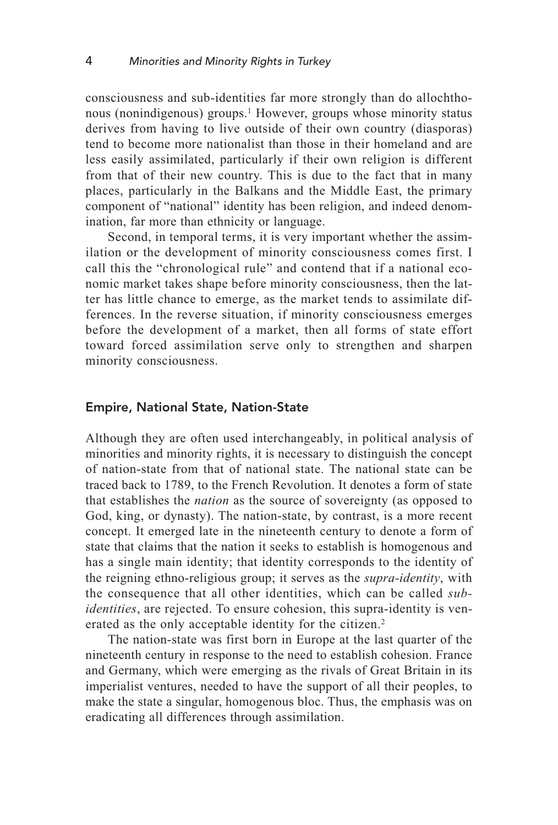consciousness and sub-identities far more strongly than do allochthonous (nonindigenous) groups. <sup>1</sup> However, groups whose minority status derives from having to live outside of their own country (diasporas) tend to become more nationalist than those in their homeland and are less easily assimilated, particularly if their own religion is different from that of their new country. This is due to the fact that in many places, particularly in the Balkans and the Middle East, the primary component of "national" identity has been religion, and indeed denomination, far more than ethnicity or language.

Second, in temporal terms, it is very important whether the assimilation or the development of minority consciousness comes first. I call this the "chronological rule" and contend that if a national economic market takes shape before minority consciousness, then the latter has little chance to emerge, as the market tends to assimilate differences. In the reverse situation, if minority consciousness emerges before the development of a market, then all forms of state effort toward forced assimilation serve only to strengthen and sharpen minority consciousness.

#### Empire, National State, Nation-State

Although they are often used interchangeably, in political analysis of minorities and minority rights, it is necessary to distinguish the concept of nation-state from that of national state. The national state can be traced back to 1789, to the French Revolution. It denotes a form of state that establishes the *nation* as the source of sovereignty (as opposed to God, king, or dynasty). The nation-state, by contrast, is a more recent concept. It emerged late in the nineteenth century to denote a form of state that claims that the nation it seeks to establish is homogenous and has a single main identity; that identity corresponds to the identity of the reigning ethno-religious group; it serves as the *supra-identity*, with the consequence that all other identities, which can be called *subidentities*, are rejected. To ensure cohesion, this supra-identity is venerated as the only acceptable identity for the citizen. 2

The nation-state was first born in Europe at the last quarter of the nineteenth century in response to the need to establish cohesion. France and Germany, which were emerging as the rivals of Great Britain in its imperialist ventures, needed to have the support of all their peoples, to make the state a singular, homogenous bloc. Thus, the emphasis was on eradicating all differences through assimilation.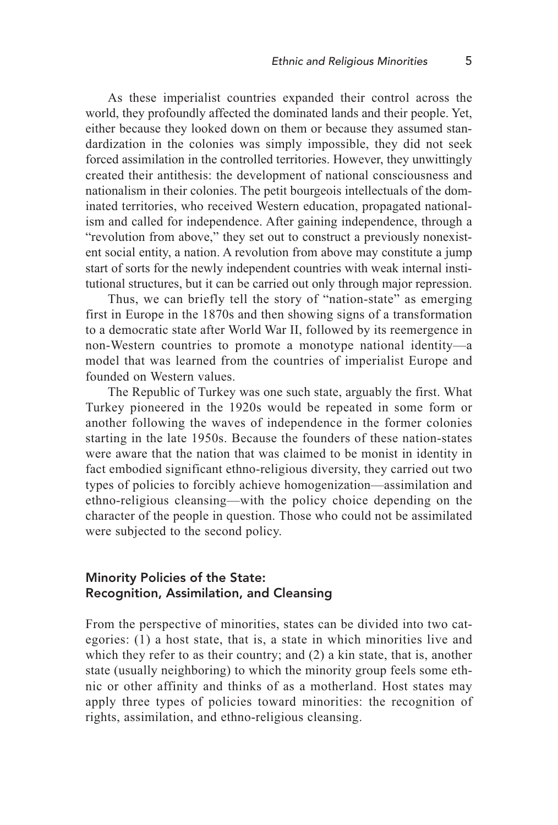As these imperialist countries expanded their control across the world, they profoundly affected the dominated lands and their people. Yet, either because they looked down on them or because they assumed standardization in the colonies was simply impossible, they did not seek forced assimilation in the controlled territories. However, they unwittingly created their antithesis: the development of national consciousness and nationalism in their colonies. The petit bourgeois intellectuals of the dominated territories, who received Western education, propagated nationalism and called for independence. After gaining independence, through a "revolution from above," they set out to construct a previously nonexistent social entity, a nation. A revolution from above may constitute a jump start of sorts for the newly independent countries with weak internal institutional structures, but it can be carried out only through major repression.

Thus, we can briefly tell the story of "nation-state" as emerging first in Europe in the 1870s and then showing signs of a transformation to a democratic state after World War II, followed by its reemergence in non-Western countries to promote a monotype national identity—a model that was learned from the countries of imperialist Europe and founded on Western values.

The Republic of Turkey was one such state, arguably the first. What Turkey pioneered in the 1920s would be repeated in some form or another following the waves of independence in the former colonies starting in the late 1950s. Because the founders of these nation-states were aware that the nation that was claimed to be monist in identity in fact embodied significant ethno-religious diversity, they carried out two types of policies to forcibly achieve homogenization—assimilation and ethno-religious cleansing—with the policy choice depending on the character of the people in question. Those who could not be assimilated were subjected to the second policy.

## Minority Policies of the State: Recognition, Assimilation, and Cleansing

From the perspective of minorities, states can be divided into two categories: (1) a host state, that is, a state in which minorities live and which they refer to as their country; and (2) a kin state, that is, another state (usually neighboring) to which the minority group feels some ethnic or other affinity and thinks of as a motherland. Host states may apply three types of policies toward minorities: the recognition of rights, assimilation, and ethno-religious cleansing.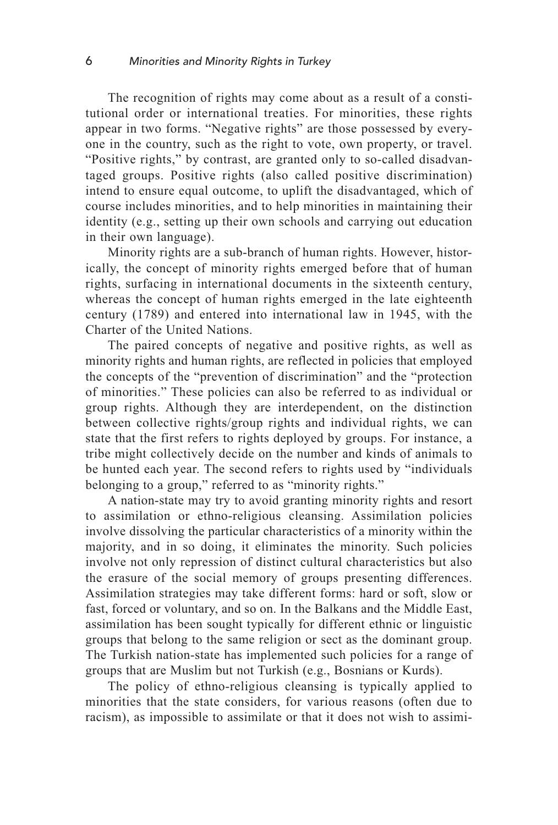The recognition of rights may come about as a result of a constitutional order or international treaties. For minorities, these rights appear in two forms. "Negative rights" are those possessed by everyone in the country, such as the right to vote, own property, or travel. "Positive rights," by contrast, are granted only to so-called disadvantaged groups. Positive rights (also called positive discrimination) intend to ensure equal outcome, to uplift the disadvantaged, which of course includes minorities, and to help minorities in maintaining their identity (e.g., setting up their own schools and carrying out education in their own language).

Minority rights are a sub-branch of human rights. However, historically, the concept of minority rights emerged before that of human rights, surfacing in international documents in the sixteenth century, whereas the concept of human rights emerged in the late eighteenth century (1789) and entered into international law in 1945, with the Charter of the United Nations.

The paired concepts of negative and positive rights, as well as minority rights and human rights, are reflected in policies that employed the concepts of the "prevention of discrimination" and the "protection of minorities." These policies can also be referred to as individual or group rights. Although they are interdependent, on the distinction between collective rights/group rights and individual rights, we can state that the first refers to rights deployed by groups. For instance, a tribe might collectively decide on the number and kinds of animals to be hunted each year. The second refers to rights used by "individuals belonging to a group," referred to as "minority rights."

A nation-state may try to avoid granting minority rights and resort to assimilation or ethno-religious cleansing. Assimilation policies involve dissolving the particular characteristics of a minority within the majority, and in so doing, it eliminates the minority. Such policies involve not only repression of distinct cultural characteristics but also the erasure of the social memory of groups presenting differences. Assimilation strategies may take different forms: hard or soft, slow or fast, forced or voluntary, and so on. In the Balkans and the Middle East, assimilation has been sought typically for different ethnic or linguistic groups that belong to the same religion or sect as the dominant group. The Turkish nation-state has implemented such policies for a range of groups that are Muslim but not Turkish (e.g., Bosnians or Kurds).

The policy of ethno-religious cleansing is typically applied to minorities that the state considers, for various reasons (often due to racism), as impossible to assimilate or that it does not wish to assimi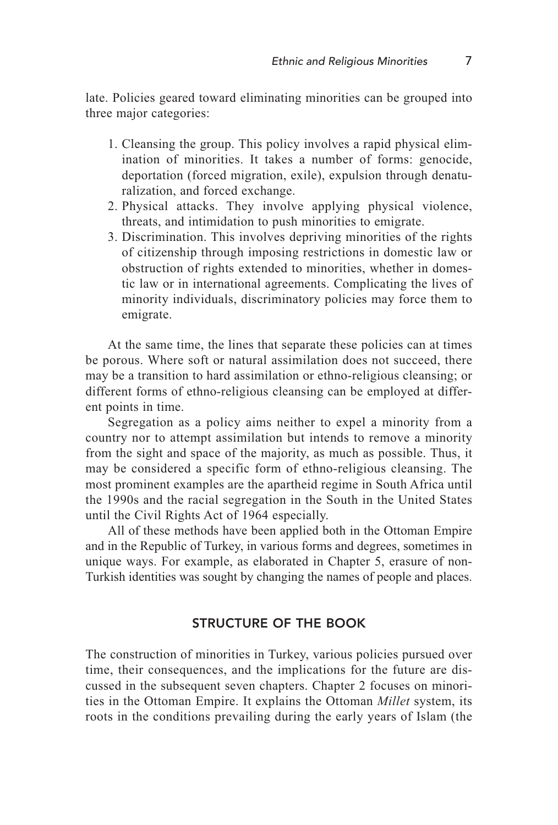late. Policies geared toward eliminating minorities can be grouped into three major categories:

- 1. Cleansing the group. This policy involves a rapid physical elimination of minorities. It takes a number of forms: genocide, deportation (forced migration, exile), expulsion through denaturalization, and forced exchange.
- 2. Physical attacks. They involve applying physical violence, threats, and intimidation to push minorities to emigrate.
- 3. Discrimination. This involves depriving minorities of the rights of citizenship through imposing restrictions in domestic law or obstruction of rights extended to minorities, whether in domestic law or in international agreements. Complicating the lives of minority individuals, discriminatory policies may force them to emigrate.

At the same time, the lines that separate these policies can at times be porous. Where soft or natural assimilation does not succeed, there may be a transition to hard assimilation or ethno-religious cleansing; or different forms of ethno-religious cleansing can be employed at different points in time.

Segregation as a policy aims neither to expel a minority from a country nor to attempt assimilation but intends to remove a minority from the sight and space of the majority, as much as possible. Thus, it may be considered a specific form of ethno-religious cleansing. The most prominent examples are the apartheid regime in South Africa until the 1990s and the racial segregation in the South in the United States until the Civil Rights Act of 1964 especially.

All of these methods have been applied both in the Ottoman Empire and in the Republic of Turkey, in various forms and degrees, sometimes in unique ways. For example, as elaborated in Chapter 5, erasure of non-Turkish identities was sought by changing the names of people and places.

## STRUCTURE OF THE BOOK

The construction of minorities in Turkey, various policies pursued over time, their consequences, and the implications for the future are discussed in the subsequent seven chapters. Chapter 2 focuses on minorities in the Ottoman Empire. It explains the Ottoman *Millet* system, its roots in the conditions prevailing during the early years of Islam (the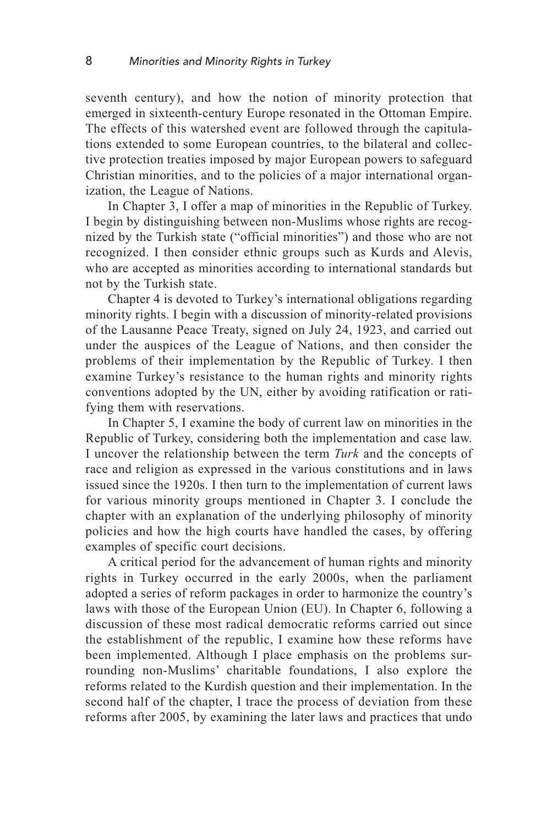seventh century), and how the notion of minority protection that emerged in sixteenth-century Europe resonated in the Ottoman Empire. The effects of this watershed event are followed through the capitulations extended to some European countries, to the bilateral and collective protection treaties imposed by major European powers to safeguard Christian minorities, and to the policies of a major international organization, the League of Nations.

In Chapter 3, I offer a map of minorities in the Republic of Turkey. I begin by distinguishing between non-Muslims whose rights are recognized by the Turkish state ("official minorities") and those who are not recognized. I then consider ethnic groups such as Kurds and Alevis, who are accepted as minorities according to international standards but not by the Turkish state.

Chapter 4 is devoted to Turkey's international obligations regarding minority rights. I begin with a discussion of minority-related provisions of the Lausanne Peace Treaty, signed on July 24, 1923, and carried out under the auspices of the League of Nations, and then consider the problems of their implementation by the Republic of Turkey. I then examine Turkey's resistance to the human rights and minority rights conventions adopted by the UN, either by avoiding ratification or ratifying them with reservations.

In Chapter 5, I examine the body of current law on minorities in the Republic of Turkey, considering both the implementation and case law. I uncover the relationship between the term *Turk* and the concepts of race and religion as expressed in the various constitutions and in laws issued since the 1920s. I then turn to the implementation of current laws for various minority groups mentioned in Chapter 3. I conclude the chapter with an explanation of the underlying philosophy of minority policies and how the high courts have handled the cases, by offering examples of specific court decisions.

A critical period for the advancement of human rights and minority rights in Turkey occurred in the early 2000s, when the parliament adopted a series of reform packages in order to harmonize the country's laws with those of the European Union (EU). In Chapter 6, following a discussion of these most radical democratic reforms carried out since the establishment of the republic, I examine how these reforms have been implemented. Although I place emphasis on the problems surrounding non-Muslims' charitable foundations, I also explore the reforms related to the Kurdish question and their implementation. In the second half of the chapter, I trace the process of deviation from these reforms after 2005, by examining the later laws and practices that undo